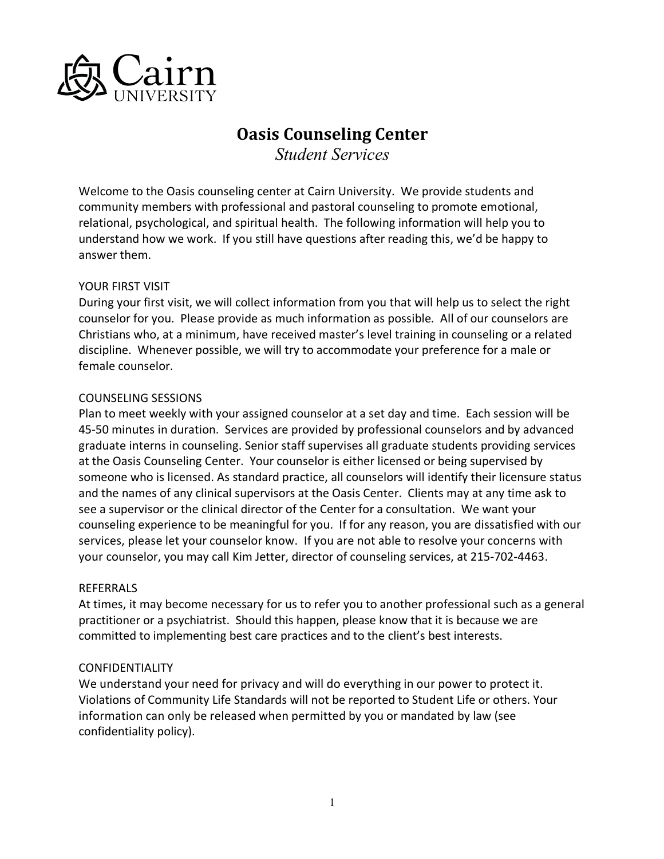

# **Oasis Counseling Center**

*Student Services*

Welcome to the Oasis counseling center at Cairn University. We provide students and community members with professional and pastoral counseling to promote emotional, relational, psychological, and spiritual health. The following information will help you to understand how we work. If you still have questions after reading this, we'd be happy to answer them.

# YOUR FIRST VISIT

During your first visit, we will collect information from you that will help us to select the right counselor for you. Please provide as much information as possible. All of our counselors are Christians who, at a minimum, have received master's level training in counseling or a related discipline. Whenever possible, we will try to accommodate your preference for a male or female counselor.

## COUNSELING SESSIONS

Plan to meet weekly with your assigned counselor at a set day and time. Each session will be 45-50 minutes in duration. Services are provided by professional counselors and by advanced graduate interns in counseling. Senior staff supervises all graduate students providing services at the Oasis Counseling Center. Your counselor is either licensed or being supervised by someone who is licensed. As standard practice, all counselors will identify their licensure status and the names of any clinical supervisors at the Oasis Center. Clients may at any time ask to see a supervisor or the clinical director of the Center for a consultation. We want your counseling experience to be meaningful for you. If for any reason, you are dissatisfied with our services, please let your counselor know. If you are not able to resolve your concerns with your counselor, you may call Kim Jetter, director of counseling services, at 215-702-4463.

### **REFERRALS**

At times, it may become necessary for us to refer you to another professional such as a general practitioner or a psychiatrist. Should this happen, please know that it is because we are committed to implementing best care practices and to the client's best interests.

# CONFIDENTIALITY

We understand your need for privacy and will do everything in our power to protect it. Violations of Community Life Standards will not be reported to Student Life or others. Your information can only be released when permitted by you or mandated by law (see confidentiality policy).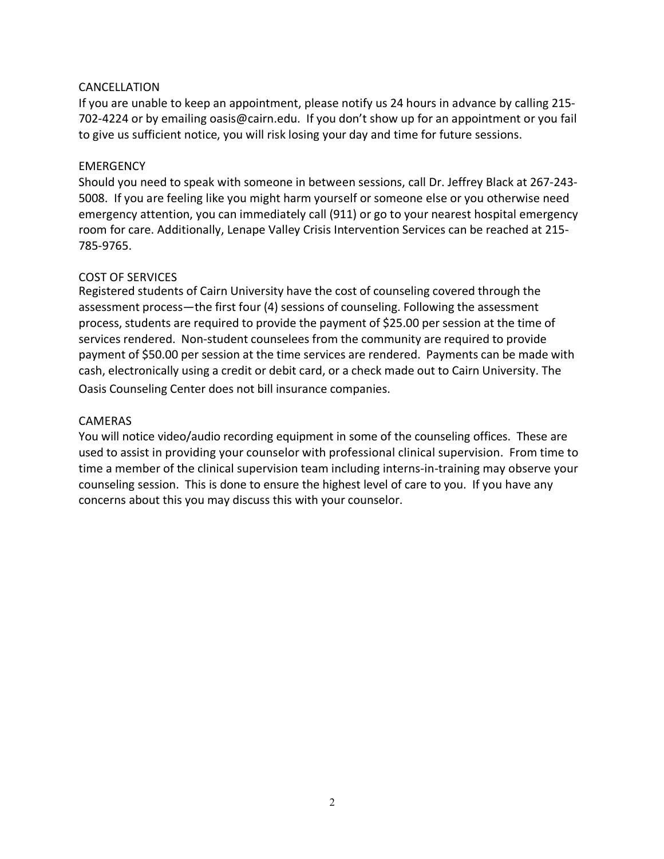# CANCELLATION

If you are unable to keep an appointment, please notify us 24 hours in advance by calling 215- 702-4224 or by emailing oasis@cairn.edu. If you don't show up for an appointment or you fail to give us sufficient notice, you will risk losing your day and time for future sessions.

# **EMERGENCY**

Should you need to speak with someone in between sessions, call Dr. Jeffrey Black at 267-243- 5008. If you are feeling like you might harm yourself or someone else or you otherwise need emergency attention, you can immediately call (911) or go to your nearest hospital emergency room for care. Additionally, Lenape Valley Crisis Intervention Services can be reached at 215- 785-9765.

# COST OF SERVICES

Registered students of Cairn University have the cost of counseling covered through the assessment process—the first four (4) sessions of counseling. Following the assessment process, students are required to provide the payment of \$25.00 per session at the time of services rendered. Non-student counselees from the community are required to provide payment of \$50.00 per session at the time services are rendered. Payments can be made with cash, electronically using a credit or debit card, or a check made out to Cairn University. The Oasis Counseling Center does not bill insurance companies.

## CAMERAS

You will notice video/audio recording equipment in some of the counseling offices. These are used to assist in providing your counselor with professional clinical supervision. From time to time a member of the clinical supervision team including interns-in-training may observe your counseling session. This is done to ensure the highest level of care to you. If you have any concerns about this you may discuss this with your counselor.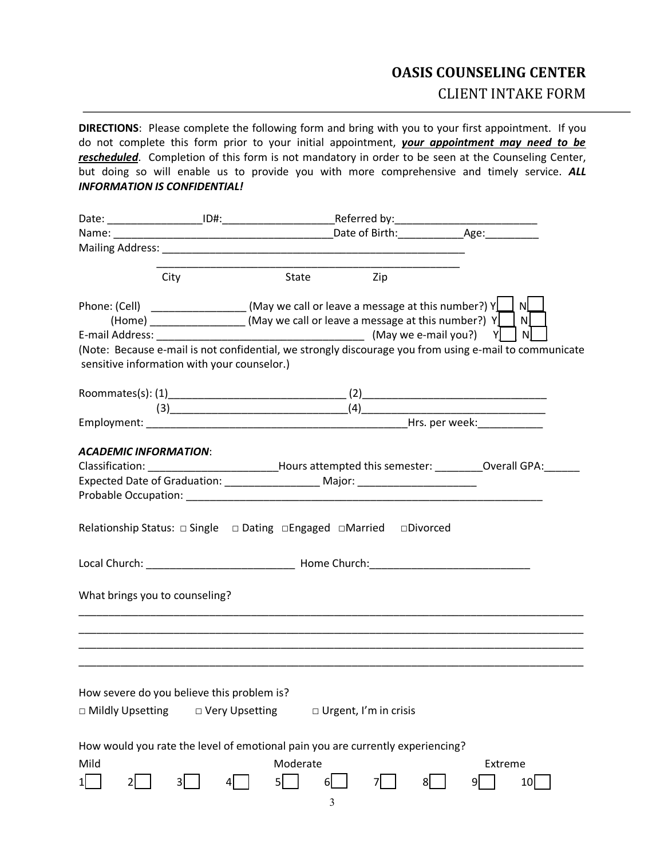# **OASIS COUNSELING CENTER CLIENT INTAKE FORM**

**DIRECTIONS**: Please complete the following form and bring with you to your first appointment. If you do not complete this form prior to your initial appointment, *your appointment may need to be rescheduled*. Completion of this form is not mandatory in order to be seen at the Counseling Center, but doing so will enable us to provide you with more comprehensive and timely service. *ALL INFORMATION IS CONFIDENTIAL!*

| City                                                                             |                  | State Zip |                                                                                 |                                                                                                             |  |
|----------------------------------------------------------------------------------|------------------|-----------|---------------------------------------------------------------------------------|-------------------------------------------------------------------------------------------------------------|--|
|                                                                                  |                  |           |                                                                                 | Phone: (Cell) _________________(May we call or leave a message at this number?) $Y$ $\boxed{\phantom{2}}$ N |  |
|                                                                                  |                  |           | (Home) ____________________(May we call or leave a message at this number?) $Y$ | $\lfloor n \rfloor$                                                                                         |  |
|                                                                                  |                  |           |                                                                                 |                                                                                                             |  |
|                                                                                  |                  |           |                                                                                 | (Note: Because e-mail is not confidential, we strongly discourage you from using e-mail to communicate      |  |
| sensitive information with your counselor.)                                      |                  |           |                                                                                 |                                                                                                             |  |
|                                                                                  |                  |           |                                                                                 |                                                                                                             |  |
|                                                                                  |                  |           |                                                                                 |                                                                                                             |  |
|                                                                                  |                  |           |                                                                                 |                                                                                                             |  |
|                                                                                  |                  |           |                                                                                 |                                                                                                             |  |
| <b>ACADEMIC INFORMATION:</b>                                                     |                  |           |                                                                                 |                                                                                                             |  |
|                                                                                  |                  |           |                                                                                 | Classification: _____________________________Hours attempted this semester: __________Overall GPA:__        |  |
| Expected Date of Graduation: ________________________ Major: ___________________ |                  |           |                                                                                 |                                                                                                             |  |
|                                                                                  |                  |           |                                                                                 |                                                                                                             |  |
|                                                                                  |                  |           |                                                                                 |                                                                                                             |  |
|                                                                                  |                  |           |                                                                                 |                                                                                                             |  |
| What brings you to counseling?                                                   |                  |           |                                                                                 |                                                                                                             |  |
|                                                                                  |                  |           |                                                                                 |                                                                                                             |  |
|                                                                                  |                  |           |                                                                                 |                                                                                                             |  |
|                                                                                  |                  |           |                                                                                 |                                                                                                             |  |
| How severe do you believe this problem is?                                       |                  |           |                                                                                 |                                                                                                             |  |
|                                                                                  |                  |           |                                                                                 |                                                                                                             |  |
| □ Mildly Upsetting                                                               | □ Very Upsetting |           | $\Box$ Urgent, I'm in crisis                                                    |                                                                                                             |  |
|                                                                                  |                  |           |                                                                                 |                                                                                                             |  |
| How would you rate the level of emotional pain you are currently experiencing?   |                  |           |                                                                                 |                                                                                                             |  |
| Mild                                                                             |                  | Moderate  |                                                                                 | Extreme                                                                                                     |  |
| 11<br>21                                                                         |                  | 51<br>61  |                                                                                 | 9<br>10                                                                                                     |  |
|                                                                                  |                  | 3         |                                                                                 |                                                                                                             |  |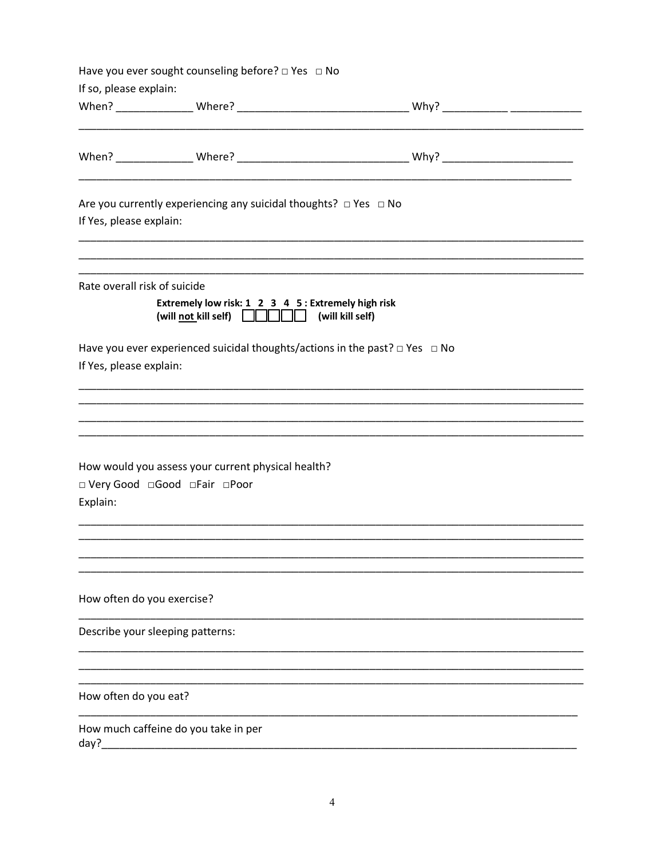|                              | Have you ever sought counseling before? □ Yes □ No                                                         |                                                                                       |
|------------------------------|------------------------------------------------------------------------------------------------------------|---------------------------------------------------------------------------------------|
| If so, please explain:       |                                                                                                            |                                                                                       |
|                              |                                                                                                            |                                                                                       |
|                              |                                                                                                            |                                                                                       |
|                              |                                                                                                            |                                                                                       |
| If Yes, please explain:      | Are you currently experiencing any suicidal thoughts? $\Box$ Yes $\Box$ No                                 |                                                                                       |
|                              |                                                                                                            |                                                                                       |
| Rate overall risk of suicide | Extremely low risk: 1 2 3 4 5 : Extremely high risk<br>(will not kill self) $\Box$ $\Box$ (will kill self) |                                                                                       |
| If Yes, please explain:      |                                                                                                            | Have you ever experienced suicidal thoughts/actions in the past? $\Box$ Yes $\Box$ No |
|                              |                                                                                                            |                                                                                       |
|                              |                                                                                                            |                                                                                       |
| Explain:                     | How would you assess your current physical health?<br>□ Very Good □ Good □ Fair □ Poor                     |                                                                                       |
|                              |                                                                                                            |                                                                                       |
|                              |                                                                                                            |                                                                                       |
| How often do you exercise?   |                                                                                                            |                                                                                       |
|                              | Describe your sleeping patterns:                                                                           |                                                                                       |
|                              |                                                                                                            |                                                                                       |
| How often do you eat?        |                                                                                                            |                                                                                       |
| day?                         | How much caffeine do you take in per                                                                       |                                                                                       |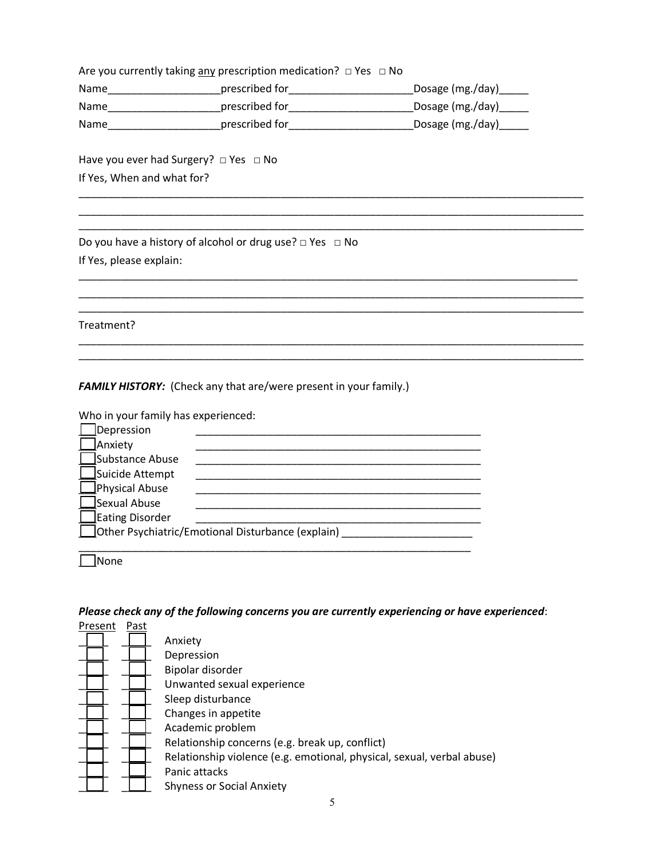### Are you currently taking any prescription medication?  $\Box$  Yes  $\Box$  No

Name\_\_\_\_\_\_\_\_\_\_\_\_\_\_\_\_\_\_\_\_\_\_\_\_\_\_prescribed for\_\_\_\_\_\_\_\_\_\_\_\_\_\_\_\_\_\_\_\_\_\_\_\_\_\_\_\_\_\_\_\_Dosage (mg./day)\_\_\_\_\_\_

Name\_\_\_\_\_\_\_\_\_\_\_\_\_\_\_\_\_\_\_\_\_\_\_\_prescribed for\_\_\_\_\_\_\_\_\_\_\_\_\_\_\_\_\_\_\_\_\_\_\_\_\_\_\_\_\_\_\_Dosage (mg./day)\_\_\_\_\_\_\_\_\_ Name\_\_\_\_\_\_\_\_\_\_\_\_\_\_\_\_\_\_\_\_\_\_\_\_prescribed for\_\_\_\_\_\_\_\_\_\_\_\_\_\_\_\_\_\_\_\_\_\_\_\_\_\_\_\_\_\_\_\_Dosage (mg./day)\_\_\_\_\_\_\_\_

\_\_\_\_\_\_\_\_\_\_\_\_\_\_\_\_\_\_\_\_\_\_\_\_\_\_\_\_\_\_\_\_\_\_\_\_\_\_\_\_\_\_\_\_\_\_\_\_\_\_\_\_\_\_\_\_\_\_\_\_\_\_\_\_\_\_\_\_\_\_\_\_\_\_\_\_\_\_\_\_\_\_\_\_\_ \_\_\_\_\_\_\_\_\_\_\_\_\_\_\_\_\_\_\_\_\_\_\_\_\_\_\_\_\_\_\_\_\_\_\_\_\_\_\_\_\_\_\_\_\_\_\_\_\_\_\_\_\_\_\_\_\_\_\_\_\_\_\_\_\_\_\_\_\_\_\_\_\_\_\_\_\_\_\_\_\_\_\_\_\_ \_\_\_\_\_\_\_\_\_\_\_\_\_\_\_\_\_\_\_\_\_\_\_\_\_\_\_\_\_\_\_\_\_\_\_\_\_\_\_\_\_\_\_\_\_\_\_\_\_\_\_\_\_\_\_\_\_\_\_\_\_\_\_\_\_\_\_\_\_\_\_\_\_\_\_\_\_\_\_\_\_\_\_\_\_

\_\_\_\_\_\_\_\_\_\_\_\_\_\_\_\_\_\_\_\_\_\_\_\_\_\_\_\_\_\_\_\_\_\_\_\_\_\_\_\_\_\_\_\_\_\_\_\_\_\_\_\_\_\_\_\_\_\_\_\_\_\_\_\_\_\_\_\_\_\_\_\_\_\_\_\_\_\_\_\_\_\_\_\_ \_\_\_\_\_\_\_\_\_\_\_\_\_\_\_\_\_\_\_\_\_\_\_\_\_\_\_\_\_\_\_\_\_\_\_\_\_\_\_\_\_\_\_\_\_\_\_\_\_\_\_\_\_\_\_\_\_\_\_\_\_\_\_\_\_\_\_\_\_\_\_\_\_\_\_\_\_\_\_\_\_\_\_\_\_ \_\_\_\_\_\_\_\_\_\_\_\_\_\_\_\_\_\_\_\_\_\_\_\_\_\_\_\_\_\_\_\_\_\_\_\_\_\_\_\_\_\_\_\_\_\_\_\_\_\_\_\_\_\_\_\_\_\_\_\_\_\_\_\_\_\_\_\_\_\_\_\_\_\_\_\_\_\_\_\_\_\_\_\_\_

\_\_\_\_\_\_\_\_\_\_\_\_\_\_\_\_\_\_\_\_\_\_\_\_\_\_\_\_\_\_\_\_\_\_\_\_\_\_\_\_\_\_\_\_\_\_\_\_\_\_\_\_\_\_\_\_\_\_\_\_\_\_\_\_\_\_\_\_\_\_\_\_\_\_\_\_\_\_\_\_\_\_\_\_\_ \_\_\_\_\_\_\_\_\_\_\_\_\_\_\_\_\_\_\_\_\_\_\_\_\_\_\_\_\_\_\_\_\_\_\_\_\_\_\_\_\_\_\_\_\_\_\_\_\_\_\_\_\_\_\_\_\_\_\_\_\_\_\_\_\_\_\_\_\_\_\_\_\_\_\_\_\_\_\_\_\_\_\_\_\_

Have you ever had Surgery? □ Yes □ No If Yes, When and what for?

Do you have a history of alcohol or drug use? □ Yes □ No If Yes, please explain:

Treatment?

## FAMILY HISTORY: (Check any that are/were present in your family.)

Who in your family has experienced:

| Depression            |                                                   |
|-----------------------|---------------------------------------------------|
| Anxiety               |                                                   |
| Substance Abuse       |                                                   |
| Suicide Attempt       |                                                   |
| $\Box$ Physical Abuse |                                                   |
| Sexual Abuse          |                                                   |
| Eating Disorder       |                                                   |
|                       | Other Psychiatric/Emotional Disturbance (explain) |
|                       |                                                   |

 $\square$ None

# *Please check any of the following concerns you are currently experiencing or have experienced*:

| Present | Past |                                                                        |
|---------|------|------------------------------------------------------------------------|
|         |      | Anxiety                                                                |
|         |      | Depression                                                             |
|         |      | Bipolar disorder                                                       |
|         |      | Unwanted sexual experience                                             |
|         |      | Sleep disturbance                                                      |
|         |      | Changes in appetite                                                    |
|         |      | Academic problem                                                       |
|         |      | Relationship concerns (e.g. break up, conflict)                        |
|         |      | Relationship violence (e.g. emotional, physical, sexual, verbal abuse) |
|         |      | Panic attacks                                                          |
|         |      | <b>Shyness or Social Anxiety</b>                                       |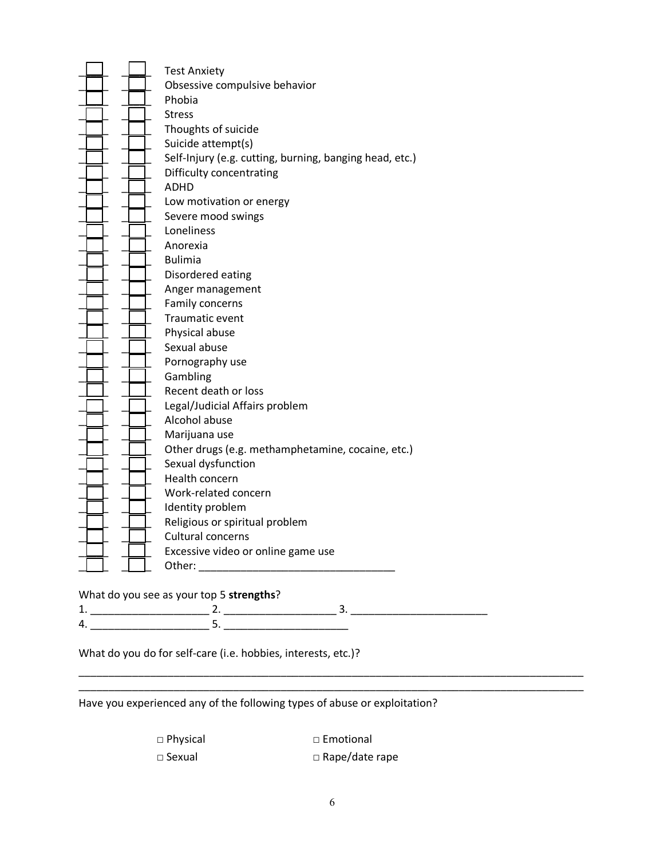| <b>Test Anxiety</b>                                     |
|---------------------------------------------------------|
| Obsessive compulsive behavior                           |
| Phobia                                                  |
| Stress                                                  |
| Thoughts of suicide                                     |
| Suicide attempt(s)                                      |
|                                                         |
| Self-Injury (e.g. cutting, burning, banging head, etc.) |
| Difficulty concentrating                                |
| ADHD                                                    |
| Low motivation or energy                                |
| Severe mood swings                                      |
| Loneliness                                              |
| Anorexia                                                |
| <b>Bulimia</b>                                          |
| Disordered eating                                       |
| Anger management                                        |
| Family concerns                                         |
| <b>Traumatic event</b>                                  |
| Physical abuse                                          |
| Sexual abuse                                            |
| Pornography use                                         |
| Gambling                                                |
| Recent death or loss                                    |
| Legal/Judicial Affairs problem                          |
| Alcohol abuse                                           |
| Marijuana use                                           |
| Other drugs (e.g. methamphetamine, cocaine, etc.)       |
| Sexual dysfunction                                      |
| Health concern                                          |
| Work-related concern                                    |
| Identity problem                                        |
| Religious or spiritual problem                          |
| Cultural concerns                                       |
| Excessive video or online game use                      |
| Other:                                                  |

# What do you see as your top 5 **strengths**?

1. \_\_\_\_\_\_\_\_\_\_\_\_\_\_\_\_\_\_\_\_ 2. \_\_\_\_\_\_\_\_\_\_\_\_\_\_\_\_\_\_\_ 3. \_\_\_\_\_\_\_\_\_\_\_\_\_\_\_\_\_\_\_\_\_\_\_ 4. \_\_\_\_\_\_\_\_\_\_\_\_\_\_\_\_\_\_\_\_ 5. \_\_\_\_\_\_\_\_\_\_\_\_\_\_\_\_\_\_\_\_\_

What do you do for self-care (i.e. hobbies, interests, etc.)?

Have you experienced any of the following types of abuse or exploitation?

□ Physical □ Demotional □ Sexual □ Pape/date rape

\_\_\_\_\_\_\_\_\_\_\_\_\_\_\_\_\_\_\_\_\_\_\_\_\_\_\_\_\_\_\_\_\_\_\_\_\_\_\_\_\_\_\_\_\_\_\_\_\_\_\_\_\_\_\_\_\_\_\_\_\_\_\_\_\_\_\_\_\_\_\_\_\_\_\_\_\_\_\_\_\_\_\_\_\_ \_\_\_\_\_\_\_\_\_\_\_\_\_\_\_\_\_\_\_\_\_\_\_\_\_\_\_\_\_\_\_\_\_\_\_\_\_\_\_\_\_\_\_\_\_\_\_\_\_\_\_\_\_\_\_\_\_\_\_\_\_\_\_\_\_\_\_\_\_\_\_\_\_\_\_\_\_\_\_\_\_\_\_\_\_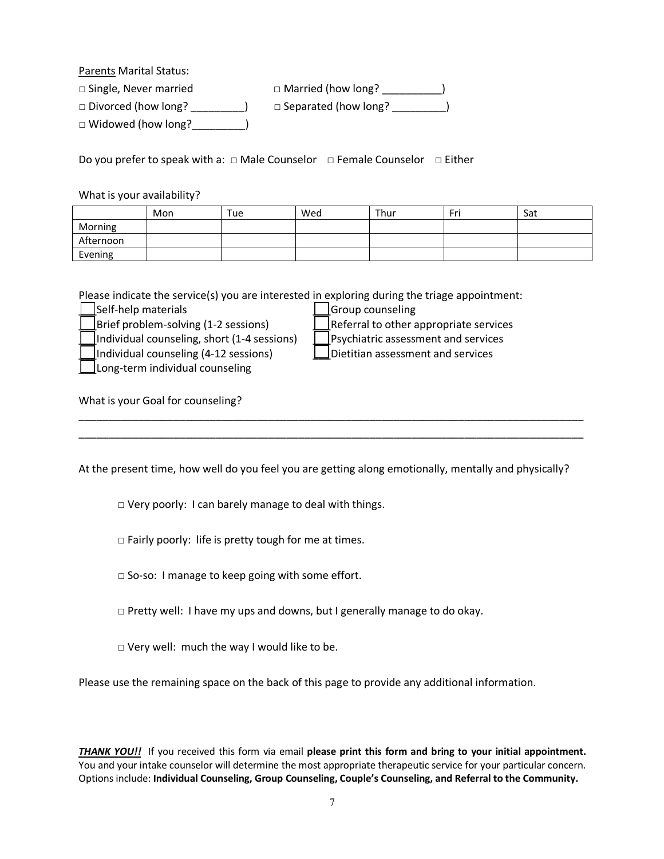Parents Marital Status:

□ Single, Never married □ Married (how long? \_\_\_\_\_\_\_\_\_\_\_)

□ Divorced (how long? \_\_\_\_\_\_\_\_\_\_) □ Separated (how long? \_\_\_\_\_\_\_\_\_)

□ Widowed (how long?

Do you prefer to speak with a: □ Male Counselor □ Female Counselor □ Either

What is your availability?

|           | Mon | Tue | Wed | Thur | Fri | Sat |
|-----------|-----|-----|-----|------|-----|-----|
| Morning   |     |     |     |      |     |     |
| Afternoon |     |     |     |      |     |     |
| Evening   |     |     |     |      |     |     |

Please indicate the service(s) you are interested in exploring during the triage appointment:

\_\_\_Self-help materials \_\_\_Group counseling

\_\_\_Brief problem-solving (1-2 sessions) \_\_\_Referral to other appropriate services

 $\Box$ Individual counseling (4-12 sessions)  $\Box$ Dietitian assessment and services

\_\_\_Long-term individual counseling

 $\lfloor$ Individual counseling, short (1-4 sessions)  $\lfloor \frac{\ell}{2} \rfloor$ Psychiatric assessment and services

What is your Goal for counseling?

At the present time, how well do you feel you are getting along emotionally, mentally and physically?

\_\_\_\_\_\_\_\_\_\_\_\_\_\_\_\_\_\_\_\_\_\_\_\_\_\_\_\_\_\_\_\_\_\_\_\_\_\_\_\_\_\_\_\_\_\_\_\_\_\_\_\_\_\_\_\_\_\_\_\_\_\_\_\_\_\_\_\_\_\_\_\_\_\_\_\_\_\_\_\_\_\_\_\_\_ \_\_\_\_\_\_\_\_\_\_\_\_\_\_\_\_\_\_\_\_\_\_\_\_\_\_\_\_\_\_\_\_\_\_\_\_\_\_\_\_\_\_\_\_\_\_\_\_\_\_\_\_\_\_\_\_\_\_\_\_\_\_\_\_\_\_\_\_\_\_\_\_\_\_\_\_\_\_\_\_\_\_\_\_\_

□ Very poorly: I can barely manage to deal with things.

□ Fairly poorly: life is pretty tough for me at times.

 $\Box$  So-so: I manage to keep going with some effort.

□ Pretty well: I have my ups and downs, but I generally manage to do okay.

 $\Box$  Very well: much the way I would like to be.

Please use the remaining space on the back of this page to provide any additional information.

*THANK YOU!!* If you received this form via email **please print this form and bring to your initial appointment.** You and your intake counselor will determine the most appropriate therapeutic service for your particular concern. Options include: **Individual Counseling, Group Counseling, Couple's Counseling, and Referral to the Community.**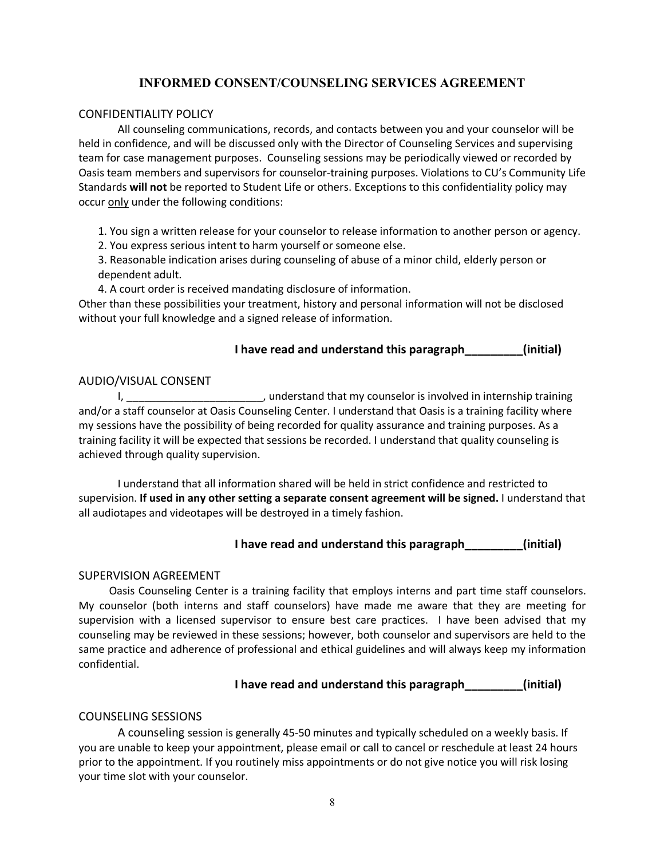## **INFORMED CONSENT/COUNSELING SERVICES AGREEMENT**

#### CONFIDENTIALITY POLICY

All counseling communications, records, and contacts between you and your counselor will be held in confidence, and will be discussed only with the Director of Counseling Services and supervising team for case management purposes. Counseling sessions may be periodically viewed or recorded by Oasis team members and supervisors for counselor-training purposes. Violations to CU's Community Life Standards **will not** be reported to Student Life or others. Exceptions to this confidentiality policy may occur only under the following conditions:

1. You sign a written release for your counselor to release information to another person or agency.

2. You express serious intent to harm yourself or someone else.

3. Reasonable indication arises during counseling of abuse of a minor child, elderly person or dependent adult.

4. A court order is received mandating disclosure of information.

Other than these possibilities your treatment, history and personal information will not be disclosed without your full knowledge and a signed release of information.

### **I have read and understand this paragraph\_\_\_\_\_\_\_\_\_(initial)**

### AUDIO/VISUAL CONSENT

I, Eq. 2014 The U.S. considerstand that my counselor is involved in internship training and/or a staff counselor at Oasis Counseling Center. I understand that Oasis is a training facility where my sessions have the possibility of being recorded for quality assurance and training purposes. As a training facility it will be expected that sessions be recorded. I understand that quality counseling is achieved through quality supervision.

I understand that all information shared will be held in strict confidence and restricted to supervision. **If used in any other setting a separate consent agreement will be signed.** I understand that all audiotapes and videotapes will be destroyed in a timely fashion.

### **I have read and understand this paragraph\_\_\_\_\_\_\_\_\_(initial)**

#### SUPERVISION AGREEMENT

Oasis Counseling Center is a training facility that employs interns and part time staff counselors. My counselor (both interns and staff counselors) have made me aware that they are meeting for supervision with a licensed supervisor to ensure best care practices. I have been advised that my counseling may be reviewed in these sessions; however, both counselor and supervisors are held to the same practice and adherence of professional and ethical guidelines and will always keep my information confidential.

### **I have read and understand this paragraph\_\_\_\_\_\_\_\_\_(initial)**

### COUNSELING SESSIONS

A counseling session is generally 45-50 minutes and typically scheduled on a weekly basis. If you are unable to keep your appointment, please email or call to cancel or reschedule at least 24 hours prior to the appointment. If you routinely miss appointments or do not give notice you will risk losing your time slot with your counselor.